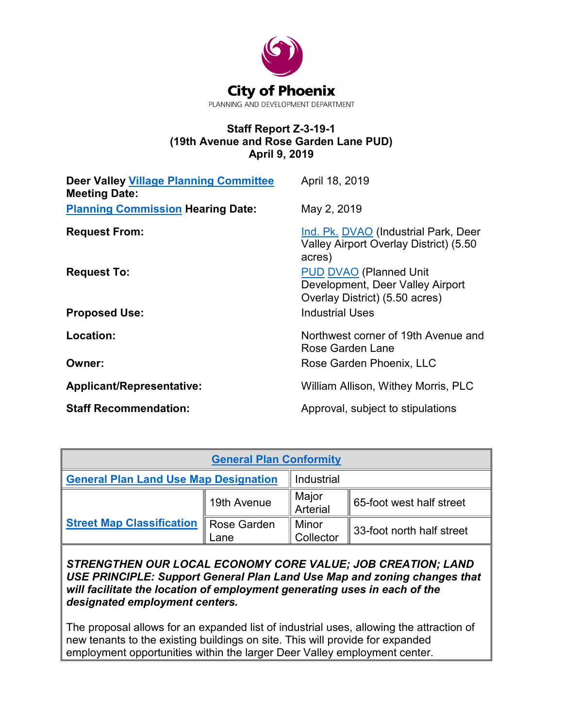

#### **Staff Report Z-3-19-1 (19th Avenue and Rose Garden Lane PUD) April 9, 2019**

| <b>Deer Valley Village Planning Committee</b><br><b>Meeting Date:</b> | April 18, 2019                                                                                      |
|-----------------------------------------------------------------------|-----------------------------------------------------------------------------------------------------|
| <b>Planning Commission Hearing Date:</b>                              | May 2, 2019                                                                                         |
| <b>Request From:</b>                                                  | Ind. Pk. DVAO (Industrial Park, Deer<br>Valley Airport Overlay District) (5.50<br>acres)            |
| <b>Request To:</b>                                                    | <b>PUD DVAO</b> (Planned Unit<br>Development, Deer Valley Airport<br>Overlay District) (5.50 acres) |
| <b>Proposed Use:</b>                                                  | <b>Industrial Uses</b>                                                                              |
| Location:                                                             | Northwest corner of 19th Avenue and<br>Rose Garden Lane                                             |
| Owner:                                                                | Rose Garden Phoenix, LLC                                                                            |
| <b>Applicant/Representative:</b>                                      | William Allison, Withey Morris, PLC                                                                 |
| <b>Staff Recommendation:</b>                                          | Approval, subject to stipulations                                                                   |

| <b>General Plan Conformity</b>               |                            |                    |                             |  |  |
|----------------------------------------------|----------------------------|--------------------|-----------------------------|--|--|
| <b>General Plan Land Use Map Designation</b> |                            | Industrial         |                             |  |  |
|                                              | 19th Avenue                | Major<br>Arterial  | 65-foot west half street    |  |  |
| <b>Street Map Classification</b>             | <b>Rose Garden</b><br>Lane | Minor<br>Collector | ∥ 33-foot north half street |  |  |

*STRENGTHEN OUR LOCAL ECONOMY CORE VALUE; JOB CREATION; LAND USE PRINCIPLE: Support General Plan Land Use Map and zoning changes that will facilitate the location of employment generating uses in each of the designated employment centers.*

The proposal allows for an expanded list of industrial uses, allowing the attraction of new tenants to the existing buildings on site. This will provide for expanded employment opportunities within the larger Deer Valley employment center.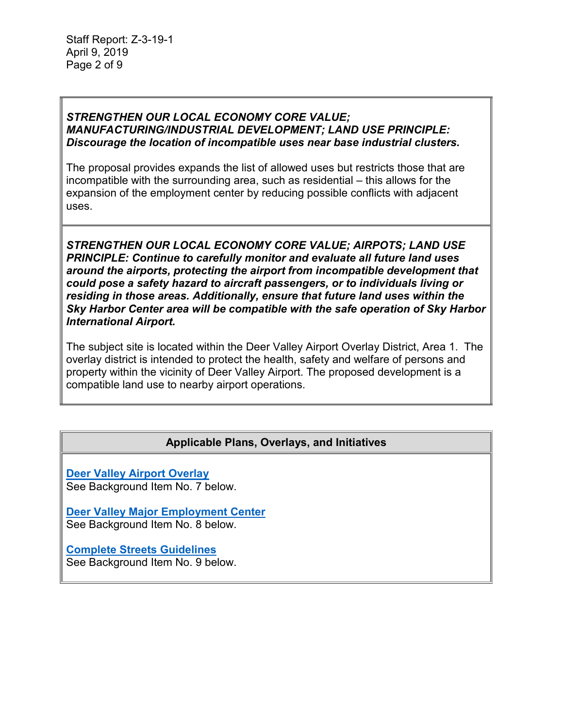#### *STRENGTHEN OUR LOCAL ECONOMY CORE VALUE; MANUFACTURING/INDUSTRIAL DEVELOPMENT; LAND USE PRINCIPLE: Discourage the location of incompatible uses near base industrial clusters.*

The proposal provides expands the list of allowed uses but restricts those that are incompatible with the surrounding area, such as residential – this allows for the expansion of the employment center by reducing possible conflicts with adjacent uses.

*STRENGTHEN OUR LOCAL ECONOMY CORE VALUE; AIRPOTS; LAND USE PRINCIPLE: Continue to carefully monitor and evaluate all future land uses around the airports, protecting the airport from incompatible development that could pose a safety hazard to aircraft passengers, or to individuals living or residing in those areas. Additionally, ensure that future land uses within the Sky Harbor Center area will be compatible with the safe operation of Sky Harbor International Airport.*

The subject site is located within the Deer Valley Airport Overlay District, Area 1. The overlay district is intended to protect the health, safety and welfare of persons and property within the vicinity of Deer Valley Airport. The proposed development is a compatible land use to nearby airport operations.

## **Applicable Plans, Overlays, and Initiatives**

**[Deer Valley Airport Overlay](https://www.codepublishing.com/AZ/Phoenix/html/PhoenixZ06/PhoenixZ0658.html#658)** See Background Item No. 7 below.

**[Deer Valley Major Employment Center](https://www.phoenix.gov/pddsite/Documents/PlanPHX_Major_Emp_Cntrs.pdf)** See Background Item No. 8 below.

**[Complete Streets Guidelines](https://www.phoenix.gov/streets/complete-streets-program)** See Background Item No. 9 below.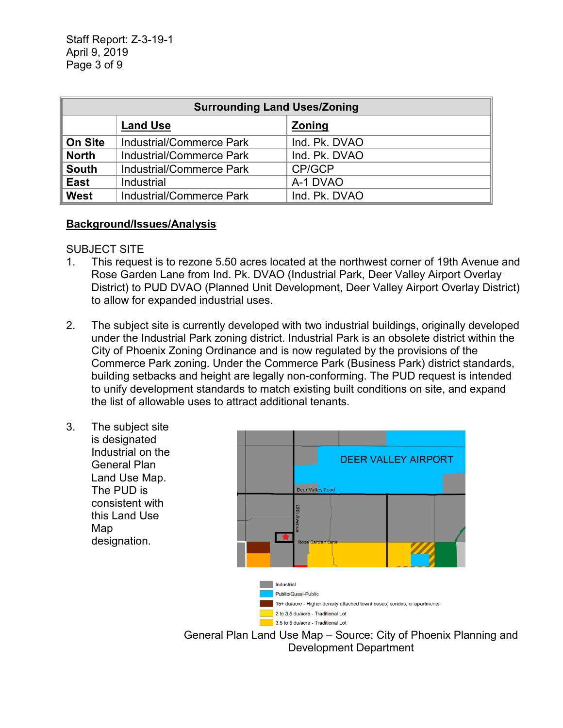| <b>Surrounding Land Uses/Zoning</b> |                          |               |  |
|-------------------------------------|--------------------------|---------------|--|
|                                     | <b>Land Use</b>          | <b>Zoning</b> |  |
| <b>On Site</b>                      | Industrial/Commerce Park | Ind. Pk. DVAO |  |
| <b>North</b>                        | Industrial/Commerce Park | Ind. Pk. DVAO |  |
| <b>South</b>                        | Industrial/Commerce Park | CP/GCP        |  |
| <b>East</b>                         | Industrial               | A-1 DVAO      |  |
| West                                | Industrial/Commerce Park | Ind. Pk. DVAO |  |

#### **Background/Issues/Analysis**

#### SUBJECT SITE

- 1. This request is to rezone 5.50 acres located at the northwest corner of 19th Avenue and Rose Garden Lane from Ind. Pk. DVAO (Industrial Park, Deer Valley Airport Overlay District) to PUD DVAO (Planned Unit Development, Deer Valley Airport Overlay District) to allow for expanded industrial uses.
- 2. The subject site is currently developed with two industrial buildings, originally developed under the Industrial Park zoning district. Industrial Park is an obsolete district within the City of Phoenix Zoning Ordinance and is now regulated by the provisions of the Commerce Park zoning. Under the Commerce Park (Business Park) district standards, building setbacks and height are legally non-conforming. The PUD request is intended to unify development standards to match existing built conditions on site, and expand the list of allowable uses to attract additional tenants.
- 3. The subject site is designated Industrial on the General Plan Land Use Map. The PUD is consistent with this Land Use Map designation.



General Plan Land Use Map – Source: City of Phoenix Planning and Development Department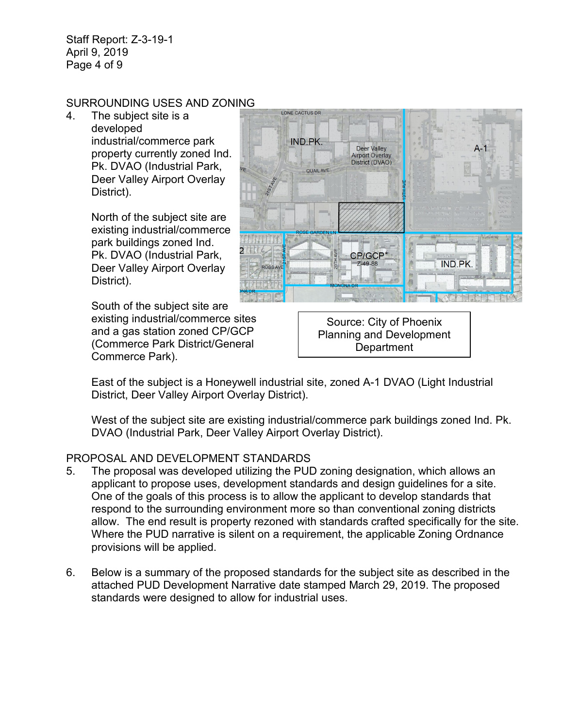Staff Report: Z-3-19-1 April 9, 2019 Page 4 of 9

## SURROUNDING USES AND ZONING

4. The subject site is a developed industrial/commerce park property currently zoned Ind. Pk. DVAO (Industrial Park, Deer Valley Airport Overlay District).

> North of the subject site are existing industrial/commerce park buildings zoned Ind. Pk. DVAO (Industrial Park, Deer Valley Airport Overlay District).

South of the subject site are existing industrial/commerce sites and a gas station zoned CP/GCP (Commerce Park District/General Commerce Park).

Source: City of Phoenix Planning and Development **Department** 

East of the subject is a Honeywell industrial site, zoned A-1 DVAO (Light Industrial District, Deer Valley Airport Overlay District).

West of the subject site are existing industrial/commerce park buildings zoned Ind. Pk. DVAO (Industrial Park, Deer Valley Airport Overlay District).

## PROPOSAL AND DEVELOPMENT STANDARDS

- 5. The proposal was developed utilizing the PUD zoning designation, which allows an applicant to propose uses, development standards and design guidelines for a site. One of the goals of this process is to allow the applicant to develop standards that respond to the surrounding environment more so than conventional zoning districts allow. The end result is property rezoned with standards crafted specifically for the site. Where the PUD narrative is silent on a requirement, the applicable Zoning Ordnance provisions will be applied.
- 6. Below is a summary of the proposed standards for the subject site as described in the attached PUD Development Narrative date stamped March 29, 2019. The proposed standards were designed to allow for industrial uses.

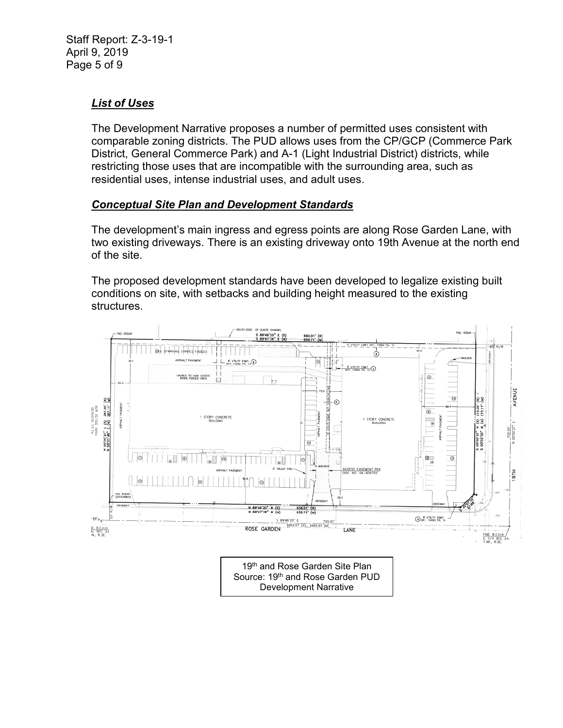# *List of Uses*

The Development Narrative proposes a number of permitted uses consistent with comparable zoning districts. The PUD allows uses from the CP/GCP (Commerce Park District, General Commerce Park) and A-1 (Light Industrial District) districts, while restricting those uses that are incompatible with the surrounding area, such as residential uses, intense industrial uses, and adult uses.

## *Conceptual Site Plan and Development Standards*

The development's main ingress and egress points are along Rose Garden Lane, with two existing driveways. There is an existing driveway onto 19th Avenue at the north end of the site.

The proposed development standards have been developed to legalize existing built conditions on site, with setbacks and building height measured to the existing structures.



Development Narrative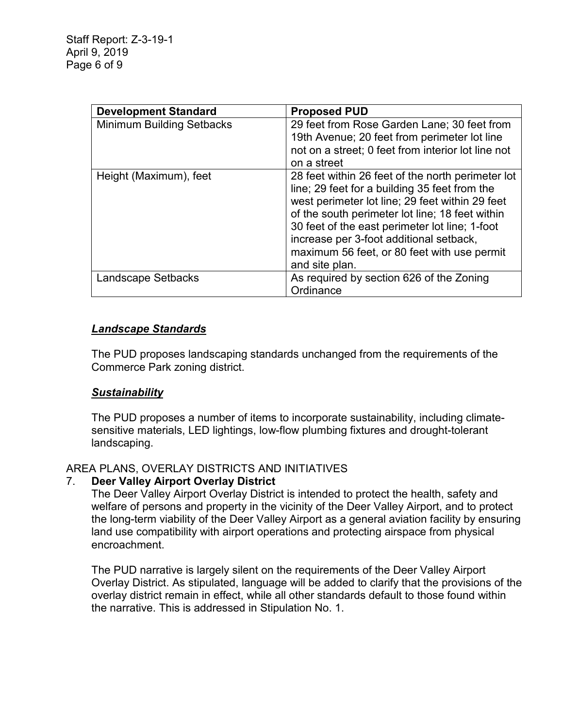| <b>Development Standard</b>      | <b>Proposed PUD</b>                                                                                                                                                                                                                                                                                                                                                    |
|----------------------------------|------------------------------------------------------------------------------------------------------------------------------------------------------------------------------------------------------------------------------------------------------------------------------------------------------------------------------------------------------------------------|
| <b>Minimum Building Setbacks</b> | 29 feet from Rose Garden Lane; 30 feet from<br>19th Avenue; 20 feet from perimeter lot line                                                                                                                                                                                                                                                                            |
|                                  | not on a street; 0 feet from interior lot line not<br>on a street                                                                                                                                                                                                                                                                                                      |
| Height (Maximum), feet           | 28 feet within 26 feet of the north perimeter lot<br>line; 29 feet for a building 35 feet from the<br>west perimeter lot line; 29 feet within 29 feet<br>of the south perimeter lot line; 18 feet within<br>30 feet of the east perimeter lot line; 1-foot<br>increase per 3-foot additional setback,<br>maximum 56 feet, or 80 feet with use permit<br>and site plan. |
| <b>Landscape Setbacks</b>        | As required by section 626 of the Zoning<br>Ordinance                                                                                                                                                                                                                                                                                                                  |

## *Landscape Standards*

The PUD proposes landscaping standards unchanged from the requirements of the Commerce Park zoning district.

## *Sustainability*

The PUD proposes a number of items to incorporate sustainability, including climatesensitive materials, LED lightings, low-flow plumbing fixtures and drought-tolerant landscaping.

## AREA PLANS, OVERLAY DISTRICTS AND INITIATIVES

## 7. **Deer Valley Airport Overlay District**

The Deer Valley Airport Overlay District is intended to protect the health, safety and welfare of persons and property in the vicinity of the Deer Valley Airport, and to protect the long-term viability of the Deer Valley Airport as a general aviation facility by ensuring land use compatibility with airport operations and protecting airspace from physical encroachment.

The PUD narrative is largely silent on the requirements of the Deer Valley Airport Overlay District. As stipulated, language will be added to clarify that the provisions of the overlay district remain in effect, while all other standards default to those found within the narrative. This is addressed in Stipulation No. 1.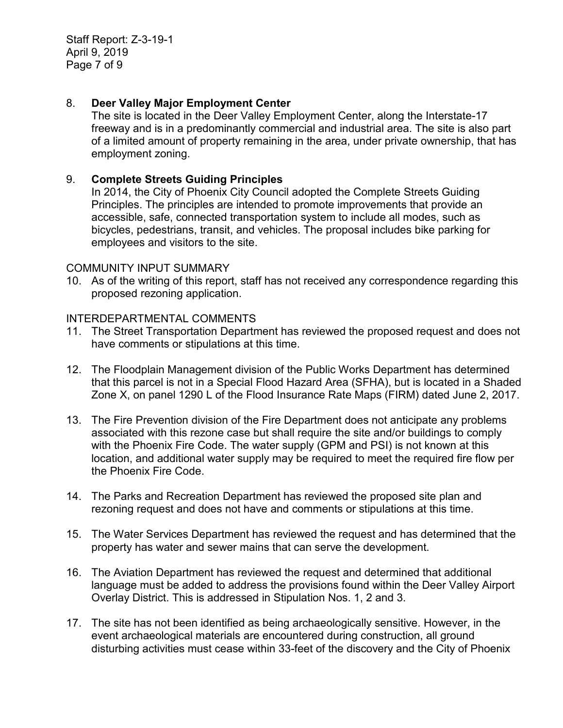Staff Report: Z-3-19-1 April 9, 2019 Page 7 of 9

#### 8. **Deer Valley Major Employment Center**

The site is located in the Deer Valley Employment Center, along the Interstate-17 freeway and is in a predominantly commercial and industrial area. The site is also part of a limited amount of property remaining in the area, under private ownership, that has employment zoning.

#### 9. **Complete Streets Guiding Principles**

In 2014, the City of Phoenix City Council adopted the Complete Streets Guiding Principles. The principles are intended to promote improvements that provide an accessible, safe, connected transportation system to include all modes, such as bicycles, pedestrians, transit, and vehicles. The proposal includes bike parking for employees and visitors to the site.

#### COMMUNITY INPUT SUMMARY

10. As of the writing of this report, staff has not received any correspondence regarding this proposed rezoning application.

#### INTERDEPARTMENTAL COMMENTS

- 11. The Street Transportation Department has reviewed the proposed request and does not have comments or stipulations at this time.
- 12. The Floodplain Management division of the Public Works Department has determined that this parcel is not in a Special Flood Hazard Area (SFHA), but is located in a Shaded Zone X, on panel 1290 L of the Flood Insurance Rate Maps (FIRM) dated June 2, 2017.
- 13. The Fire Prevention division of the Fire Department does not anticipate any problems associated with this rezone case but shall require the site and/or buildings to comply with the Phoenix Fire Code. The water supply (GPM and PSI) is not known at this location, and additional water supply may be required to meet the required fire flow per the Phoenix Fire Code.
- 14. The Parks and Recreation Department has reviewed the proposed site plan and rezoning request and does not have and comments or stipulations at this time.
- 15. The Water Services Department has reviewed the request and has determined that the property has water and sewer mains that can serve the development.
- 16. The Aviation Department has reviewed the request and determined that additional language must be added to address the provisions found within the Deer Valley Airport Overlay District. This is addressed in Stipulation Nos. 1, 2 and 3.
- 17. The site has not been identified as being archaeologically sensitive. However, in the event archaeological materials are encountered during construction, all ground disturbing activities must cease within 33-feet of the discovery and the City of Phoenix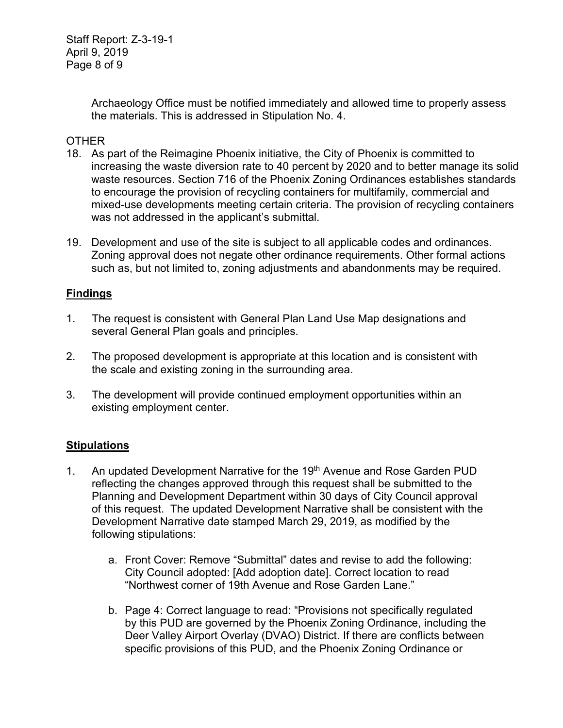Archaeology Office must be notified immediately and allowed time to properly assess the materials. This is addressed in Stipulation No. 4.

#### OTHER

- 18. As part of the Reimagine Phoenix initiative, the City of Phoenix is committed to increasing the waste diversion rate to 40 percent by 2020 and to better manage its solid waste resources. Section 716 of the Phoenix Zoning Ordinances establishes standards to encourage the provision of recycling containers for multifamily, commercial and mixed-use developments meeting certain criteria. The provision of recycling containers was not addressed in the applicant's submittal.
- 19. Development and use of the site is subject to all applicable codes and ordinances. Zoning approval does not negate other ordinance requirements. Other formal actions such as, but not limited to, zoning adjustments and abandonments may be required.

## **Findings**

- 1. The request is consistent with General Plan Land Use Map designations and several General Plan goals and principles.
- 2. The proposed development is appropriate at this location and is consistent with the scale and existing zoning in the surrounding area.
- 3. The development will provide continued employment opportunities within an existing employment center.

## **Stipulations**

- 1. An updated Development Narrative for the 19<sup>th</sup> Avenue and Rose Garden PUD reflecting the changes approved through this request shall be submitted to the Planning and Development Department within 30 days of City Council approval of this request. The updated Development Narrative shall be consistent with the Development Narrative date stamped March 29, 2019, as modified by the following stipulations:
	- a. Front Cover: Remove "Submittal" dates and revise to add the following: City Council adopted: [Add adoption date]. Correct location to read "Northwest corner of 19th Avenue and Rose Garden Lane."
	- b. Page 4: Correct language to read: "Provisions not specifically regulated by this PUD are governed by the Phoenix Zoning Ordinance, including the Deer Valley Airport Overlay (DVAO) District. If there are conflicts between specific provisions of this PUD, and the Phoenix Zoning Ordinance or